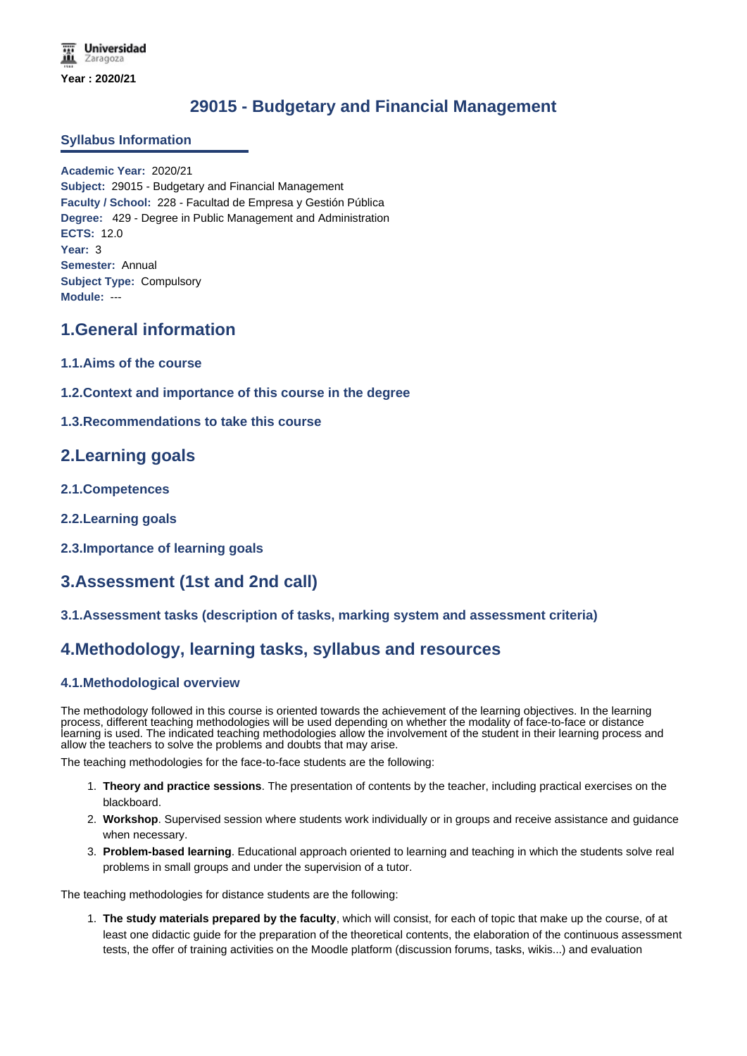# **29015 - Budgetary and Financial Management**

### **Syllabus Information**

**Academic Year:** 2020/21 **Subject:** 29015 - Budgetary and Financial Management **Faculty / School:** 228 - Facultad de Empresa y Gestión Pública **Degree:** 429 - Degree in Public Management and Administration **ECTS:** 12.0 **Year:** 3 **Semester:** Annual **Subject Type:** Compulsory **Module:** ---

## **1.General information**

- **1.1.Aims of the course**
- **1.2.Context and importance of this course in the degree**
- **1.3.Recommendations to take this course**

## **2.Learning goals**

- **2.1.Competences**
- **2.2.Learning goals**
- **2.3.Importance of learning goals**

## **3.Assessment (1st and 2nd call)**

**3.1.Assessment tasks (description of tasks, marking system and assessment criteria)**

### **4.Methodology, learning tasks, syllabus and resources**

### **4.1.Methodological overview**

The methodology followed in this course is oriented towards the achievement of the learning objectives. In the learning process, different teaching methodologies will be used depending on whether the modality of face-to-face or distance learning is used. The indicated teaching methodologies allow the involvement of the student in their learning process and allow the teachers to solve the problems and doubts that may arise.

The teaching methodologies for the face-to-face students are the following:

- 1. **Theory and practice sessions**. The presentation of contents by the teacher, including practical exercises on the blackboard.
- 2. **Workshop**. Supervised session where students work individually or in groups and receive assistance and guidance when necessary.
- 3. **Problem-based learning**. Educational approach oriented to learning and teaching in which the students solve real problems in small groups and under the supervision of a tutor.

The teaching methodologies for distance students are the following:

1. **The study materials prepared by the faculty**, which will consist, for each of topic that make up the course, of at least one didactic guide for the preparation of the theoretical contents, the elaboration of the continuous assessment tests, the offer of training activities on the Moodle platform (discussion forums, tasks, wikis...) and evaluation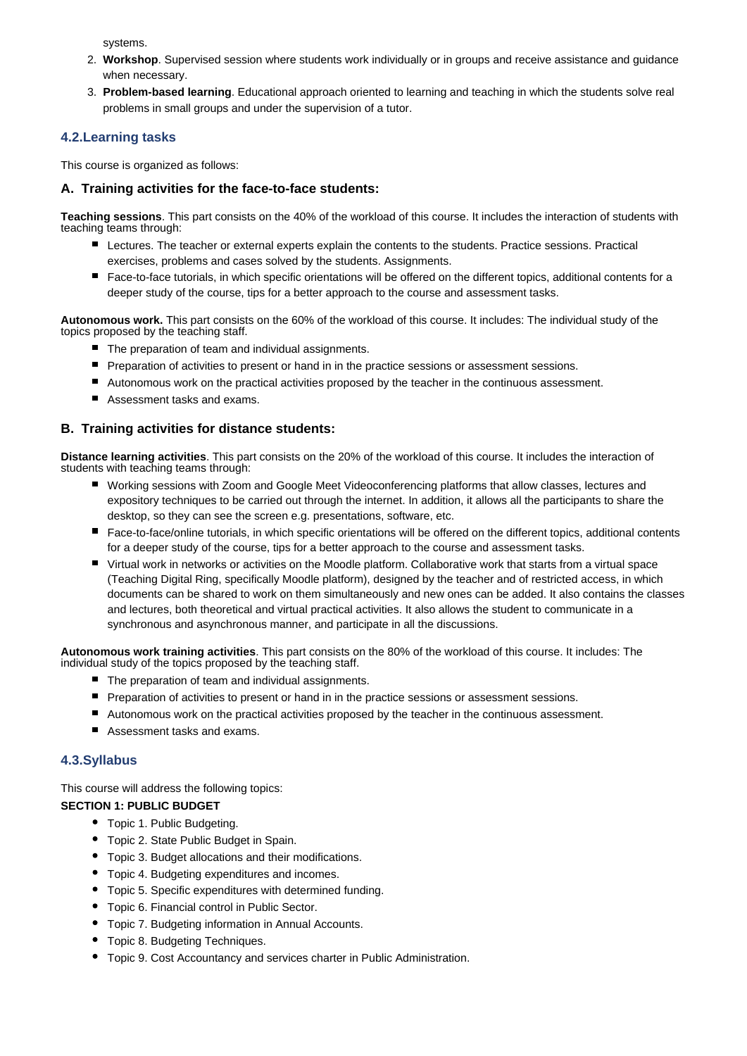systems.

- 2. **Workshop**. Supervised session where students work individually or in groups and receive assistance and guidance when necessary.
- 3. **Problem-based learning**. Educational approach oriented to learning and teaching in which the students solve real problems in small groups and under the supervision of a tutor.

### **4.2.Learning tasks**

This course is organized as follows:

### **A. Training activities for the face-to-face students:**

**Teaching sessions**. This part consists on the 40% of the workload of this course. It includes the interaction of students with teaching teams through:

- **Lectures. The teacher or external experts explain the contents to the students. Practice sessions. Practical** exercises, problems and cases solved by the students. Assignments.
- Face-to-face tutorials, in which specific orientations will be offered on the different topics, additional contents for a deeper study of the course, tips for a better approach to the course and assessment tasks.

**Autonomous work.** This part consists on the 60% of the workload of this course. It includes: The individual study of the topics proposed by the teaching staff.

- The preparation of team and individual assignments.
- **Preparation of activities to present or hand in in the practice sessions or assessment sessions.**
- Autonomous work on the practical activities proposed by the teacher in the continuous assessment.
- Assessment tasks and exams.

### **B. Training activities for distance students:**

**Distance learning activities**. This part consists on the 20% of the workload of this course. It includes the interaction of students with teaching teams through:

- Working sessions with Zoom and Google Meet Videoconferencing platforms that allow classes, lectures and expository techniques to be carried out through the internet. In addition, it allows all the participants to share the desktop, so they can see the screen e.g. presentations, software, etc.
- Face-to-face/online tutorials, in which specific orientations will be offered on the different topics, additional contents for a deeper study of the course, tips for a better approach to the course and assessment tasks.
- Virtual work in networks or activities on the Moodle platform. Collaborative work that starts from a virtual space (Teaching Digital Ring, specifically Moodle platform), designed by the teacher and of restricted access, in which documents can be shared to work on them simultaneously and new ones can be added. It also contains the classes and lectures, both theoretical and virtual practical activities. It also allows the student to communicate in a synchronous and asynchronous manner, and participate in all the discussions.

**Autonomous work training activities**. This part consists on the 80% of the workload of this course. It includes: The individual study of the topics proposed by the teaching staff.

- The preparation of team and individual assignments.
- **Preparation of activities to present or hand in in the practice sessions or assessment sessions.**
- Autonomous work on the practical activities proposed by the teacher in the continuous assessment.
- Assessment tasks and exams.

#### **4.3.Syllabus**

This course will address the following topics:

#### **SECTION 1: PUBLIC BUDGET**

- Topic 1. Public Budgeting.
- Topic 2. State Public Budget in Spain.
- Topic 3. Budget allocations and their modifications.
- Topic 4. Budgeting expenditures and incomes.
- Topic 5. Specific expenditures with determined funding.
- Topic 6. Financial control in Public Sector.
- Topic 7. Budgeting information in Annual Accounts.
- Topic 8. Budgeting Techniques.
- Topic 9. Cost Accountancy and services charter in Public Administration.